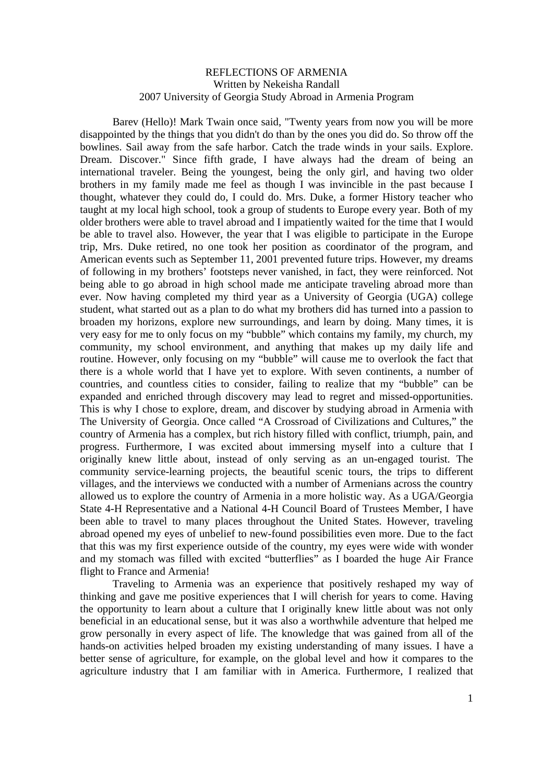Barev (Hello)! Mark Twain once said, "Twenty years from now you will be more disappointed by the things that you didn't do than by the ones you did do. So throw off the bowlines. Sail away from the safe harbor. Catch the trade winds in your sails. Explore. Dream. Discover." Since fifth grade, I have always had the dream of being an international traveler. Being the youngest, being the only girl, and having two older brothers in my family made me feel as though I was invincible in the past because I thought, whatever they could do, I could do. Mrs. Duke, a former History teacher who taught at my local high school, took a group of students to Europe every year. Both of my older brothers were able to travel abroad and I impatiently waited for the time that I would be able to travel also. However, the year that I was eligible to participate in the Europe trip, Mrs. Duke retired, no one took her position as coordinator of the program, and American events such as September 11, 2001 prevented future trips. However, my dreams of following in my brothers' footsteps never vanished, in fact, they were reinforced. Not being able to go abroad in high school made me anticipate traveling abroad more than ever. Now having completed my third year as a University of Georgia (UGA) college student, what started out as a plan to do what my brothers did has turned into a passion to broaden my horizons, explore new surroundings, and learn by doing. Many times, it is very easy for me to only focus on my "bubble" which contains my family, my church, my community, my school environment, and anything that makes up my daily life and routine. However, only focusing on my "bubble" will cause me to overlook the fact that there is a whole world that I have yet to explore. With seven continents, a number of countries, and countless cities to consider, failing to realize that my "bubble" can be expanded and enriched through discovery may lead to regret and missed-opportunities. This is why I chose to explore, dream, and discover by studying abroad in Armenia with The University of Georgia. Once called "A Crossroad of Civilizations and Cultures," the country of Armenia has a complex, but rich history filled with conflict, triumph, pain, and progress. Furthermore, I was excited about immersing myself into a culture that I originally knew little about, instead of only serving as an un-engaged tourist. The community service-learning projects, the beautiful scenic tours, the trips to different villages, and the interviews we conducted with a number of Armenians across the country allowed us to explore the country of Armenia in a more holistic way. As a UGA/Georgia State 4-H Representative and a National 4-H Council Board of Trustees Member, I have been able to travel to many places throughout the United States. However, traveling abroad opened my eyes of unbelief to new-found possibilities even more. Due to the fact that this was my first experience outside of the country, my eyes were wide with wonder and my stomach was filled with excited "butterflies" as I boarded the huge Air France flight to France and Armenia!

Traveling to Armenia was an experience that positively reshaped my way of thinking and gave me positive experiences that I will cherish for years to come. Having the opportunity to learn about a culture that I originally knew little about was not only beneficial in an educational sense, but it was also a worthwhile adventure that helped me grow personally in every aspect of life. The knowledge that was gained from all of the hands-on activities helped broaden my existing understanding of many issues. I have a better sense of agriculture, for example, on the global level and how it compares to the agriculture industry that I am familiar with in America. Furthermore, I realized that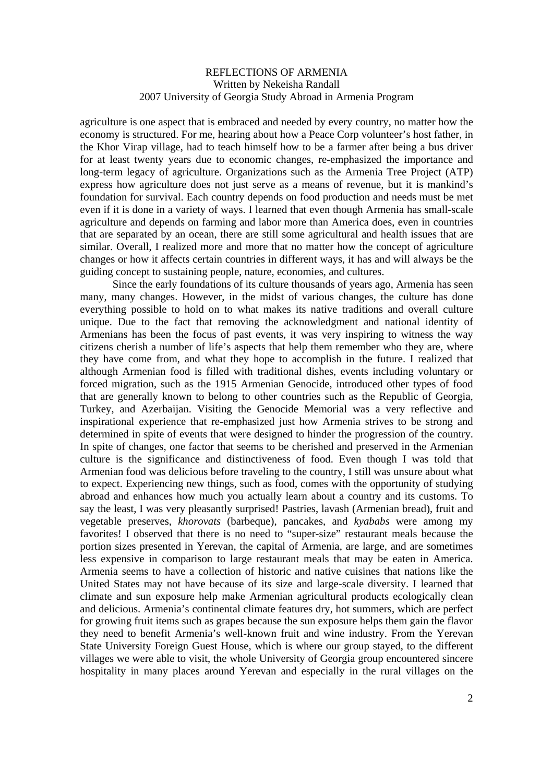agriculture is one aspect that is embraced and needed by every country, no matter how the economy is structured. For me, hearing about how a Peace Corp volunteer's host father, in the Khor Virap village, had to teach himself how to be a farmer after being a bus driver for at least twenty years due to economic changes, re-emphasized the importance and long-term legacy of agriculture. Organizations such as the Armenia Tree Project (ATP) express how agriculture does not just serve as a means of revenue, but it is mankind's foundation for survival. Each country depends on food production and needs must be met even if it is done in a variety of ways. I learned that even though Armenia has small-scale agriculture and depends on farming and labor more than America does, even in countries that are separated by an ocean, there are still some agricultural and health issues that are similar. Overall, I realized more and more that no matter how the concept of agriculture changes or how it affects certain countries in different ways, it has and will always be the guiding concept to sustaining people, nature, economies, and cultures.

Since the early foundations of its culture thousands of years ago, Armenia has seen many, many changes. However, in the midst of various changes, the culture has done everything possible to hold on to what makes its native traditions and overall culture unique. Due to the fact that removing the acknowledgment and national identity of Armenians has been the focus of past events, it was very inspiring to witness the way citizens cherish a number of life's aspects that help them remember who they are, where they have come from, and what they hope to accomplish in the future. I realized that although Armenian food is filled with traditional dishes, events including voluntary or forced migration, such as the 1915 Armenian Genocide, introduced other types of food that are generally known to belong to other countries such as the Republic of Georgia, Turkey, and Azerbaijan. Visiting the Genocide Memorial was a very reflective and inspirational experience that re-emphasized just how Armenia strives to be strong and determined in spite of events that were designed to hinder the progression of the country. In spite of changes, one factor that seems to be cherished and preserved in the Armenian culture is the significance and distinctiveness of food. Even though I was told that Armenian food was delicious before traveling to the country, I still was unsure about what to expect. Experiencing new things, such as food, comes with the opportunity of studying abroad and enhances how much you actually learn about a country and its customs. To say the least, I was very pleasantly surprised! Pastries, lavash (Armenian bread), fruit and vegetable preserves, *khorovats* (barbeque), pancakes, and *kyababs* were among my favorites! I observed that there is no need to "super-size" restaurant meals because the portion sizes presented in Yerevan, the capital of Armenia, are large, and are sometimes less expensive in comparison to large restaurant meals that may be eaten in America. Armenia seems to have a collection of historic and native cuisines that nations like the United States may not have because of its size and large-scale diversity. I learned that climate and sun exposure help make Armenian agricultural products ecologically clean and delicious. Armenia's continental climate features dry, hot summers, which are perfect for growing fruit items such as grapes because the sun exposure helps them gain the flavor they need to benefit Armenia's well-known fruit and wine industry. From the Yerevan State University Foreign Guest House, which is where our group stayed, to the different villages we were able to visit, the whole University of Georgia group encountered sincere hospitality in many places around Yerevan and especially in the rural villages on the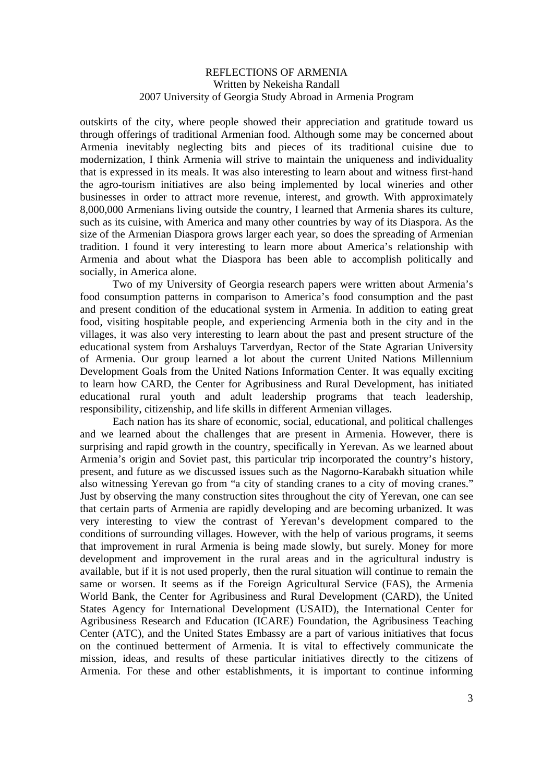outskirts of the city, where people showed their appreciation and gratitude toward us through offerings of traditional Armenian food. Although some may be concerned about Armenia inevitably neglecting bits and pieces of its traditional cuisine due to modernization, I think Armenia will strive to maintain the uniqueness and individuality that is expressed in its meals. It was also interesting to learn about and witness first-hand the agro-tourism initiatives are also being implemented by local wineries and other businesses in order to attract more revenue, interest, and growth. With approximately 8,000,000 Armenians living outside the country, I learned that Armenia shares its culture, such as its cuisine, with America and many other countries by way of its Diaspora. As the size of the Armenian Diaspora grows larger each year, so does the spreading of Armenian tradition. I found it very interesting to learn more about America's relationship with Armenia and about what the Diaspora has been able to accomplish politically and socially, in America alone.

Two of my University of Georgia research papers were written about Armenia's food consumption patterns in comparison to America's food consumption and the past and present condition of the educational system in Armenia. In addition to eating great food, visiting hospitable people, and experiencing Armenia both in the city and in the villages, it was also very interesting to learn about the past and present structure of the educational system from Arshaluys Tarverdyan, Rector of the State Agrarian University of Armenia. Our group learned a lot about the current United Nations Millennium Development Goals from the United Nations Information Center. It was equally exciting to learn how CARD, the Center for Agribusiness and Rural Development, has initiated educational rural youth and adult leadership programs that teach leadership, responsibility, citizenship, and life skills in different Armenian villages.

Each nation has its share of economic, social, educational, and political challenges and we learned about the challenges that are present in Armenia. However, there is surprising and rapid growth in the country, specifically in Yerevan. As we learned about Armenia's origin and Soviet past, this particular trip incorporated the country's history, present, and future as we discussed issues such as the Nagorno-Karabakh situation while also witnessing Yerevan go from "a city of standing cranes to a city of moving cranes." Just by observing the many construction sites throughout the city of Yerevan, one can see that certain parts of Armenia are rapidly developing and are becoming urbanized. It was very interesting to view the contrast of Yerevan's development compared to the conditions of surrounding villages. However, with the help of various programs, it seems that improvement in rural Armenia is being made slowly, but surely. Money for more development and improvement in the rural areas and in the agricultural industry is available, but if it is not used properly, then the rural situation will continue to remain the same or worsen. It seems as if the Foreign Agricultural Service (FAS), the Armenia World Bank, the Center for Agribusiness and Rural Development (CARD), the United States Agency for International Development (USAID), the International Center for Agribusiness Research and Education (ICARE) Foundation, the Agribusiness Teaching Center (ATC), and the United States Embassy are a part of various initiatives that focus on the continued betterment of Armenia. It is vital to effectively communicate the mission, ideas, and results of these particular initiatives directly to the citizens of Armenia. For these and other establishments, it is important to continue informing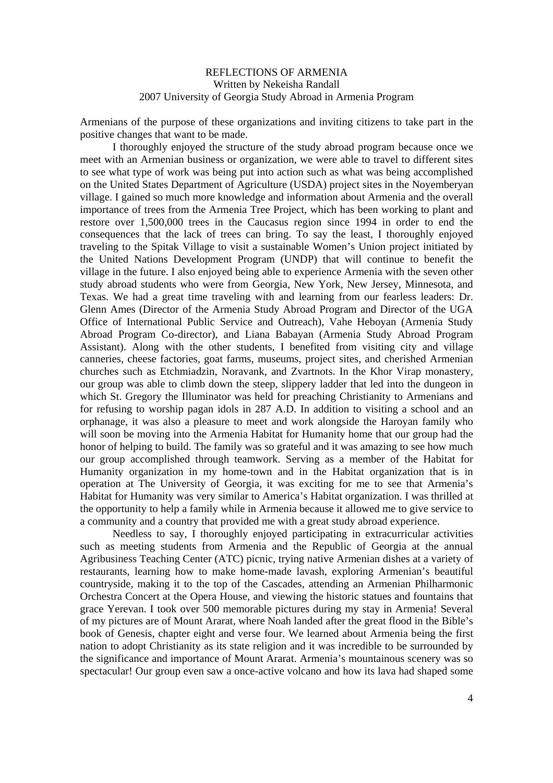Armenians of the purpose of these organizations and inviting citizens to take part in the positive changes that want to be made.

I thoroughly enjoyed the structure of the study abroad program because once we meet with an Armenian business or organization, we were able to travel to different sites to see what type of work was being put into action such as what was being accomplished on the United States Department of Agriculture (USDA) project sites in the Noyemberyan village. I gained so much more knowledge and information about Armenia and the overall importance of trees from the Armenia Tree Project, which has been working to plant and restore over 1,500,000 trees in the Caucasus region since 1994 in order to end the consequences that the lack of trees can bring. To say the least, I thoroughly enjoyed traveling to the Spitak Village to visit a sustainable Women's Union project initiated by the United Nations Development Program (UNDP) that will continue to benefit the village in the future. I also enjoyed being able to experience Armenia with the seven other study abroad students who were from Georgia, New York, New Jersey, Minnesota, and Texas. We had a great time traveling with and learning from our fearless leaders: Dr. Glenn Ames (Director of the Armenia Study Abroad Program and Director of the UGA Office of International Public Service and Outreach), Vahe Heboyan (Armenia Study Abroad Program Co-director), and Liana Babayan (Armenia Study Abroad Program Assistant). Along with the other students, I benefited from visiting city and village canneries, cheese factories, goat farms, museums, project sites, and cherished Armenian churches such as Etchmiadzin, Noravank, and Zvartnots. In the Khor Virap monastery, our group was able to climb down the steep, slippery ladder that led into the dungeon in which St. Gregory the Illuminator was held for preaching Christianity to Armenians and for refusing to worship pagan idols in 287 A.D. In addition to visiting a school and an orphanage, it was also a pleasure to meet and work alongside the Haroyan family who will soon be moving into the Armenia Habitat for Humanity home that our group had the honor of helping to build. The family was so grateful and it was amazing to see how much our group accomplished through teamwork. Serving as a member of the Habitat for Humanity organization in my home-town and in the Habitat organization that is in operation at The University of Georgia, it was exciting for me to see that Armenia's Habitat for Humanity was very similar to America's Habitat organization. I was thrilled at the opportunity to help a family while in Armenia because it allowed me to give service to a community and a country that provided me with a great study abroad experience.

Needless to say, I thoroughly enjoyed participating in extracurricular activities such as meeting students from Armenia and the Republic of Georgia at the annual Agribusiness Teaching Center (ATC) picnic, trying native Armenian dishes at a variety of restaurants, learning how to make home-made lavash, exploring Armenian's beautiful countryside, making it to the top of the Cascades, attending an Armenian Philharmonic Orchestra Concert at the Opera House, and viewing the historic statues and fountains that grace Yerevan. I took over 500 memorable pictures during my stay in Armenia! Several of my pictures are of Mount Ararat, where Noah landed after the great flood in the Bible's book of Genesis, chapter eight and verse four. We learned about Armenia being the first nation to adopt Christianity as its state religion and it was incredible to be surrounded by the significance and importance of Mount Ararat. Armenia's mountainous scenery was so spectacular! Our group even saw a once-active volcano and how its lava had shaped some